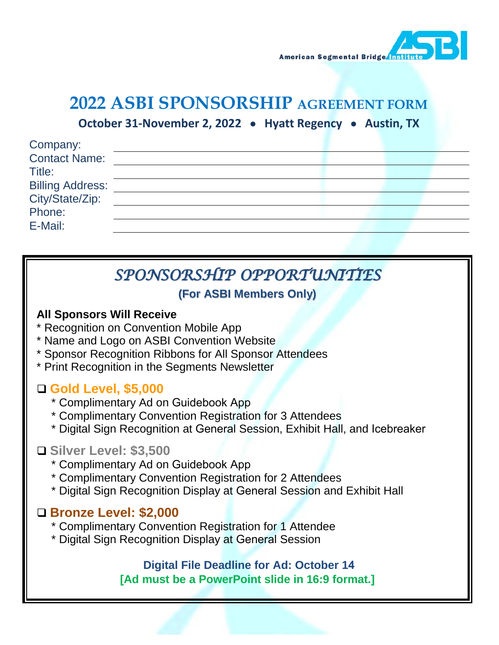

# **2022 ASBI SPONSORSHIP AGREEMENT FORM**

**October 31-November 2, 2022** • **Hyatt Regency** • **Austin, TX**

| Company:                |  |  |  |
|-------------------------|--|--|--|
| <b>Contact Name:</b>    |  |  |  |
| Title:                  |  |  |  |
| <b>Billing Address:</b> |  |  |  |
| City/State/Zip:         |  |  |  |
| Phone:                  |  |  |  |
| E-Mail:                 |  |  |  |
|                         |  |  |  |

# *SPONSORSHIP OPPORTUNITIES*

## **(For ASBI Members Only)**

#### **All Sponsors Will Receive**

- \* Recognition on Convention Mobile App
- \* Name and Logo on ASBI Convention Website
- \* Sponsor Recognition Ribbons for All Sponsor Attendees
- \* Print Recognition in the Segments Newsletter

## **Gold Level, \$5,000**

- \* Complimentary Ad on Guidebook App
- \* Complimentary Convention Registration for 3 Attendees
- \* Digital Sign Recognition at General Session, Exhibit Hall, and Icebreaker

## **Silver Level: \$3,500**

- \* Complimentary Ad on Guidebook App
- \* Complimentary Convention Registration for 2 Attendees
- \* Digital Sign Recognition Display at General Session and Exhibit Hall

## **Bronze Level: \$2,000**

- \* Complimentary Convention Registration for 1 Attendee
- \* Digital Sign Recognition Display at General Session

#### **Digital File Deadline for Ad: October 14 [Ad must be a PowerPoint slide in 16:9 format.]**